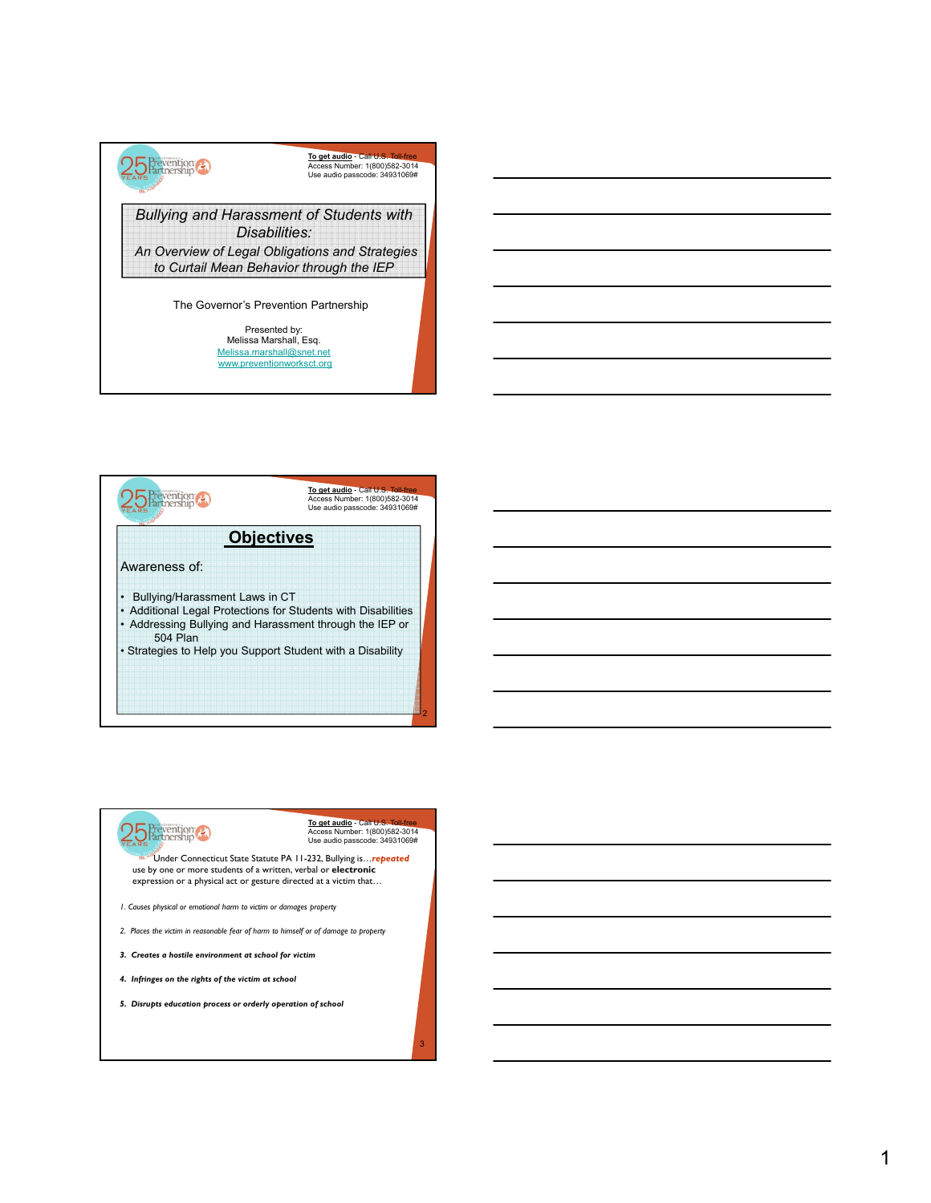



### **To get audio** - Call U.S. Toll-free Access Number: 1(800)582-3014 Use audio passcode: 34931069#

3

Under Connecticut State Statute PA 11-232, Bullying is…*repeated* use by one or more students of a written, verbal or **electronic**  expression or a physical act or gesture directed at a victim that…

- *1. Causes physical or emotional harm to victim or damages property*
- *2. Places the victim in reasonable fear of harm to himself or of damage to property*
- *3. Creates a hostile environment at school for victim*
- *4. Infringes on the rights of the victim at school*

25 Prevention

*5. Disrupts education process or orderly operation of school*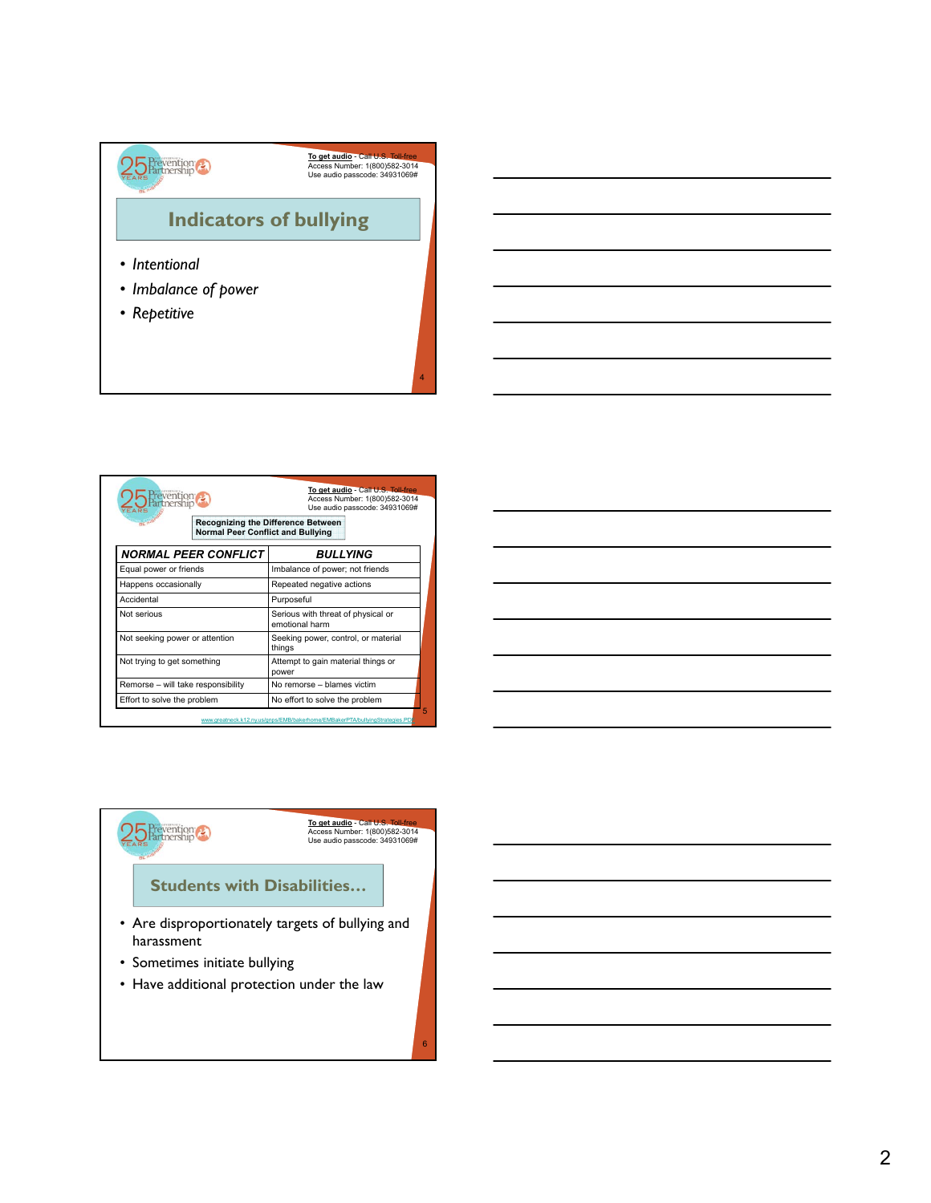

|                                    |                                                                                | Use audio passcode: 34931069#                        |  |
|------------------------------------|--------------------------------------------------------------------------------|------------------------------------------------------|--|
|                                    | Recognizing the Difference Between<br><b>Normal Peer Conflict and Bullying</b> |                                                      |  |
| <b>NORMAL PEER CONFLICT</b>        |                                                                                | <b>BULLYING</b>                                      |  |
| Equal power or friends             |                                                                                | Imbalance of power; not friends                      |  |
| Happens occasionally               |                                                                                | Repeated negative actions                            |  |
| Accidental                         |                                                                                | Purposeful                                           |  |
| Not serious                        |                                                                                | Serious with threat of physical or<br>emotional harm |  |
| Not seeking power or attention     |                                                                                | Seeking power, control, or material<br>things        |  |
| Not trying to get something        |                                                                                | Attempt to gain material things or<br>power          |  |
| Remorse - will take responsibility |                                                                                | No remorse - blames victim                           |  |
| Effort to solve the problem        |                                                                                | No effort to solve the problem                       |  |



25 Prevention **To get audio** - Call U.S. Toll-free Access Number: 1(800)582-3014 Use audio passcode: 34931069#**Students with Disabilities…** • Are disproportionately targets of bullying and harassment • Sometimes initiate bullying • Have additional protection under the law

6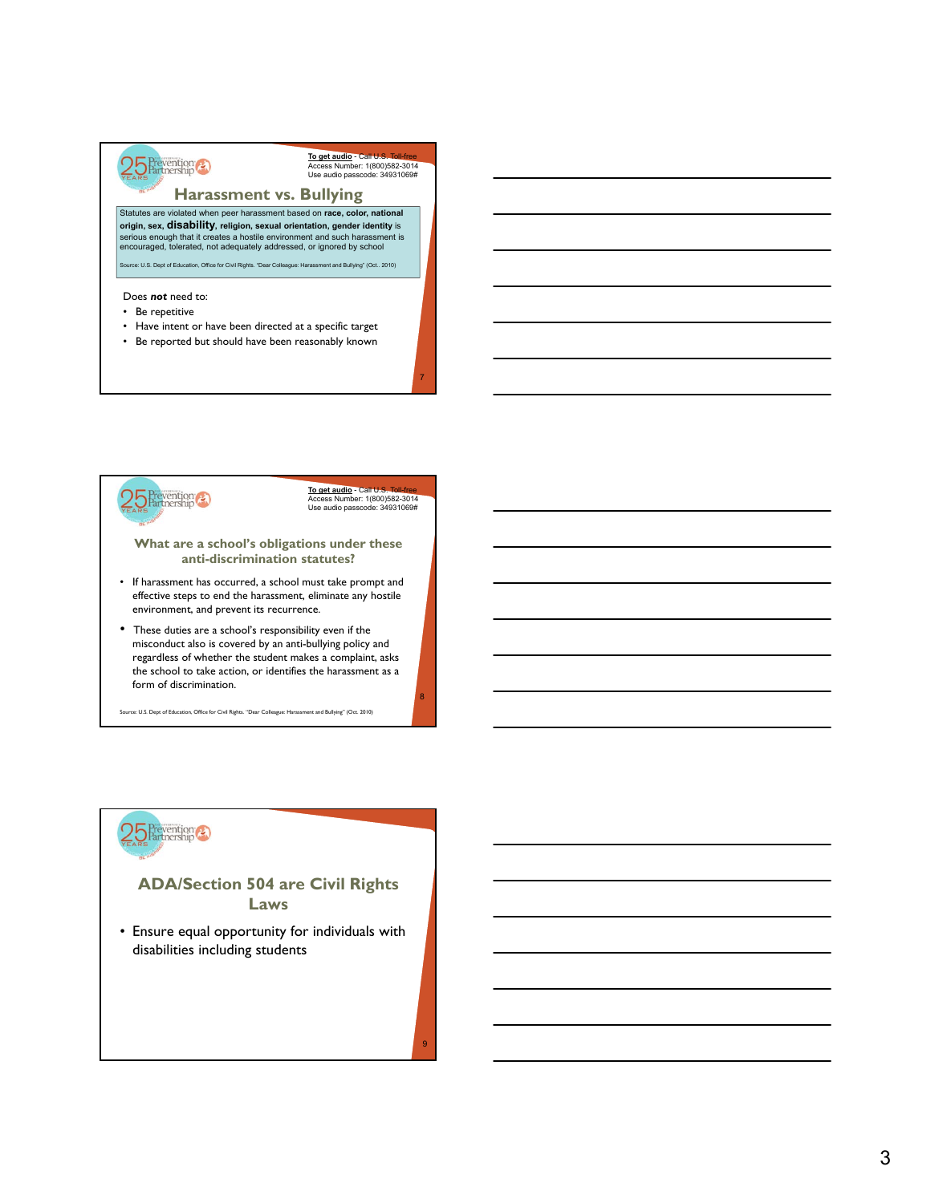

To get audio - Call U.S Access Number: 1(800)582-3014 Use audio passcode: 34931069#

#### **Harassment vs. Bullying**

Statutes are violated when peer harassment based on **race, color, national origin, sex, disability, religion, sexual orientation, gender identity** is serious enough that it creates a hostile environment and such harassment is encouraged, tolerated, not adequately addressed, or ignored by school

e: U.S. Dept of Education, Office for Civil Rights. "Dear Colleague: Harassment and Bullying" (Oct.. 2010)

#### Does *not* need to:

- Be repetitive
- Have intent or have been directed at a specific target
- Be reported but should have been reasonably known



**To get audio** - Call U Access Number: 1(800)582-3014 Use audio passcode: 34931069#

7

8

#### **What are a school's obligations under these anti-discrimination statutes?**

- If harassment has occurred, a school must take prompt and effective steps to end the harassment, eliminate any hostile environment, and prevent its recurrence.
- These duties are a school's responsibility even if the misconduct also is covered by an anti-bullying policy and regardless of whether the student makes a complaint, asks the school to take action, or identifies the harassment as a form of discrimination.

Source: U.S. Dept of Education, Office for Civil Rights. "Dear Colleague: Harassment and Bullying" (Oct. 2010)

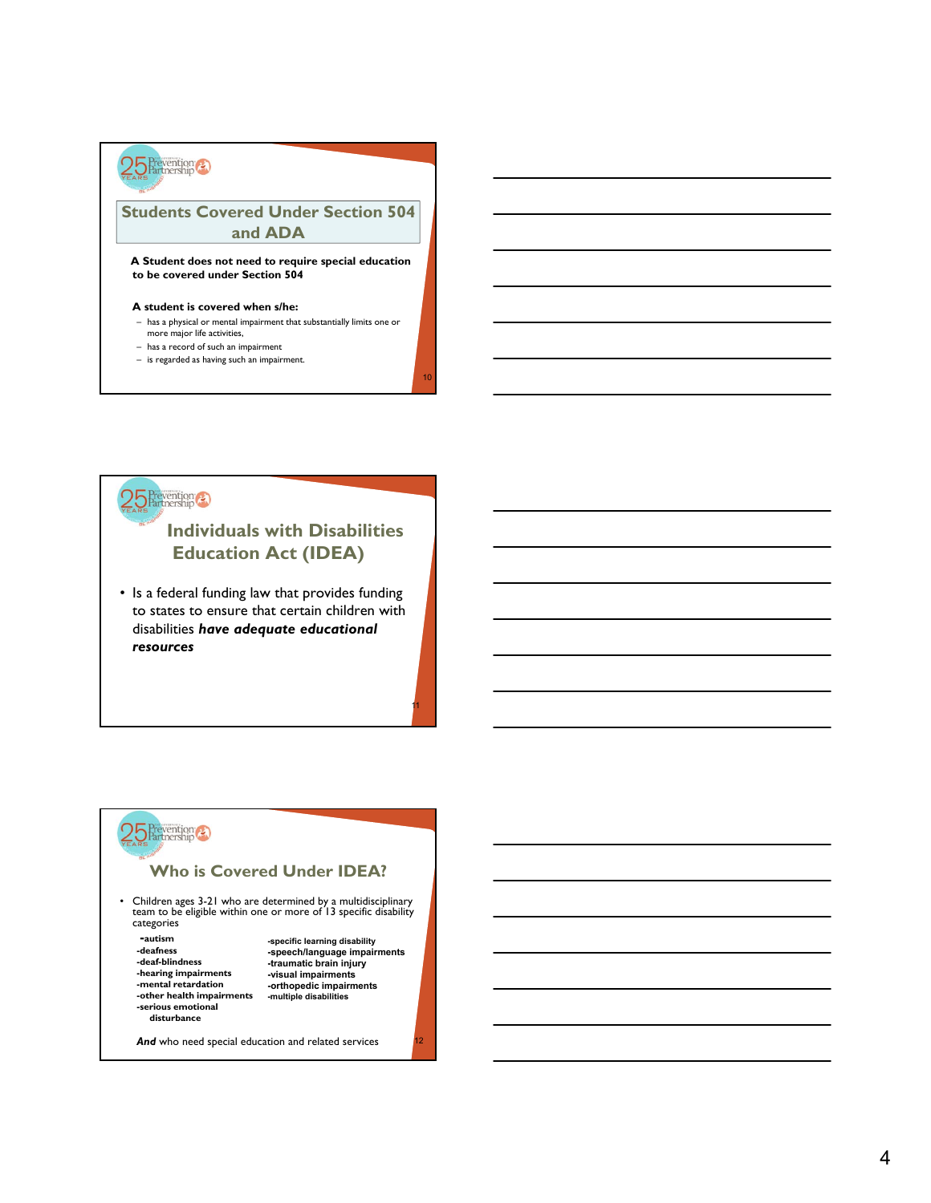

#### **Students Covered Under Section 504 and ADA**

**A Student does not need to require special education to be covered under Section 504**

#### **A student is covered when s/he:**

– has a physical or mental impairment that substantially limits one or more major life activities,

10

11

- has a record of such an impairment
- is regarded as having such an impairment.



### **Individuals with Disabilities Education Act (IDEA)**

• Is a federal funding law that provides funding to states to ensure that certain children with disabilities *have adequate educational resources* 

# $5$  Prevention

#### **Who is Covered Under IDEA?**

• Children ages 3-21 who are determined by a multidisciplinary team to be eligible within one or more of 13 specific disability categories

**-autism -deaf-blindness -traumatic brain injury -traumatic brain injury** -hearing impairments<br>-mental retardation -other health impairments **-serious emotional disturbance**

**-deafness -speech/language impairments -speech/language impairments -mental retardation -orthopedic impairments -orthopedic impairments -specific learning disability -visual impairments -multiple disabilities**

And who need special education and related services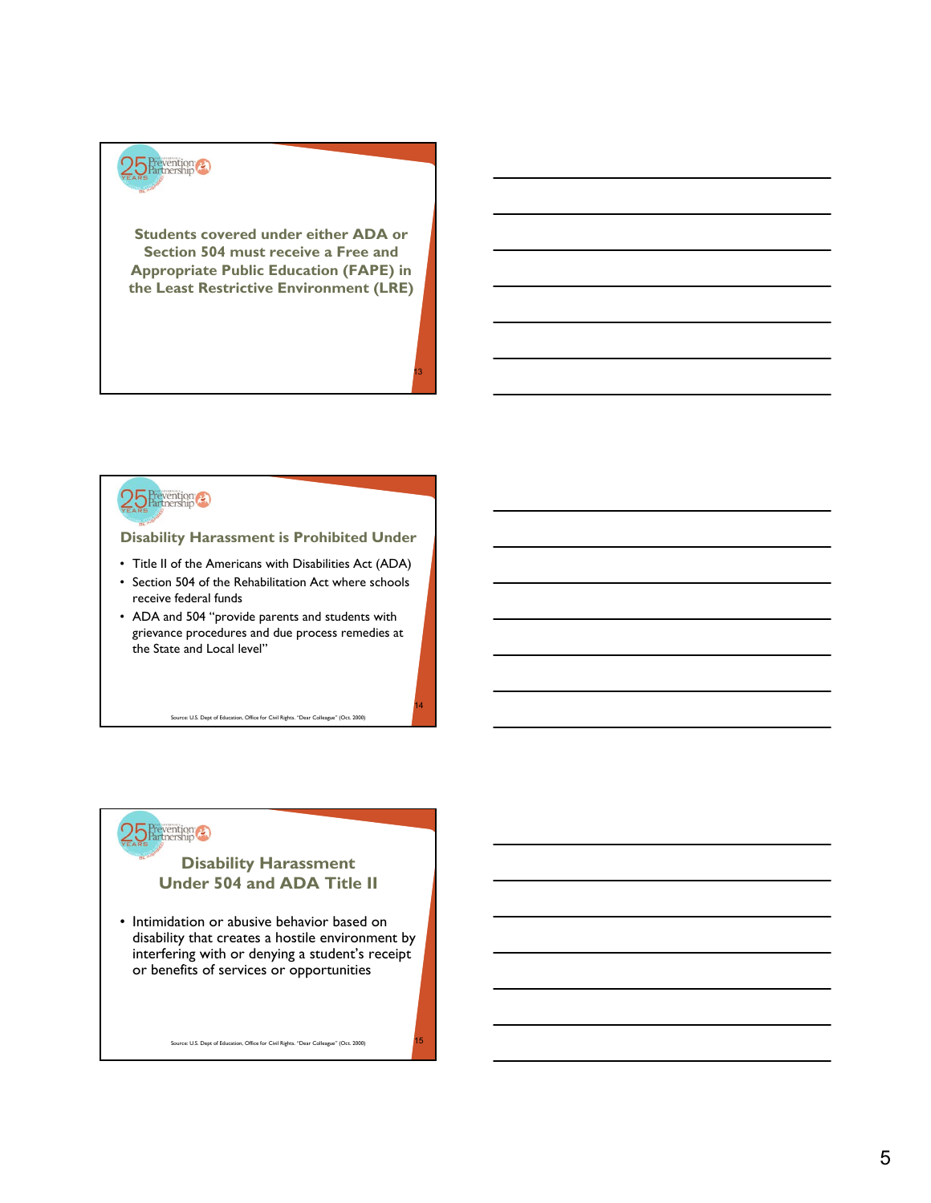

**Students covered under either ADA or Section 504 must receive a Free and Appropriate Public Education (FAPE) in the Least Restrictive Environment (LRE)**

13

14

## 25 Prevention

#### **Disability Harassment is Prohibited Under**

- Title II of the Americans with Disabilities Act (ADA)
- Section 504 of the Rehabilitation Act where schools receive federal funds
- ADA and 504 "provide parents and students with grievance procedures and due process remedies at the State and Local level"

Source: U.S. Dept of Education, Office for Civil Rights. "Dear Colleague" (Oct. 2000)



#### **Disability Harassment Under 504 and ADA Title II**

• Intimidation or abusive behavior based on disability that creates a hostile environment by interfering with or denying a student's receipt or benefits of services or opportunities

Source: U.S. Dept of Education, Office for Civil Rights. "Dear Colleague" (Oct. 2000)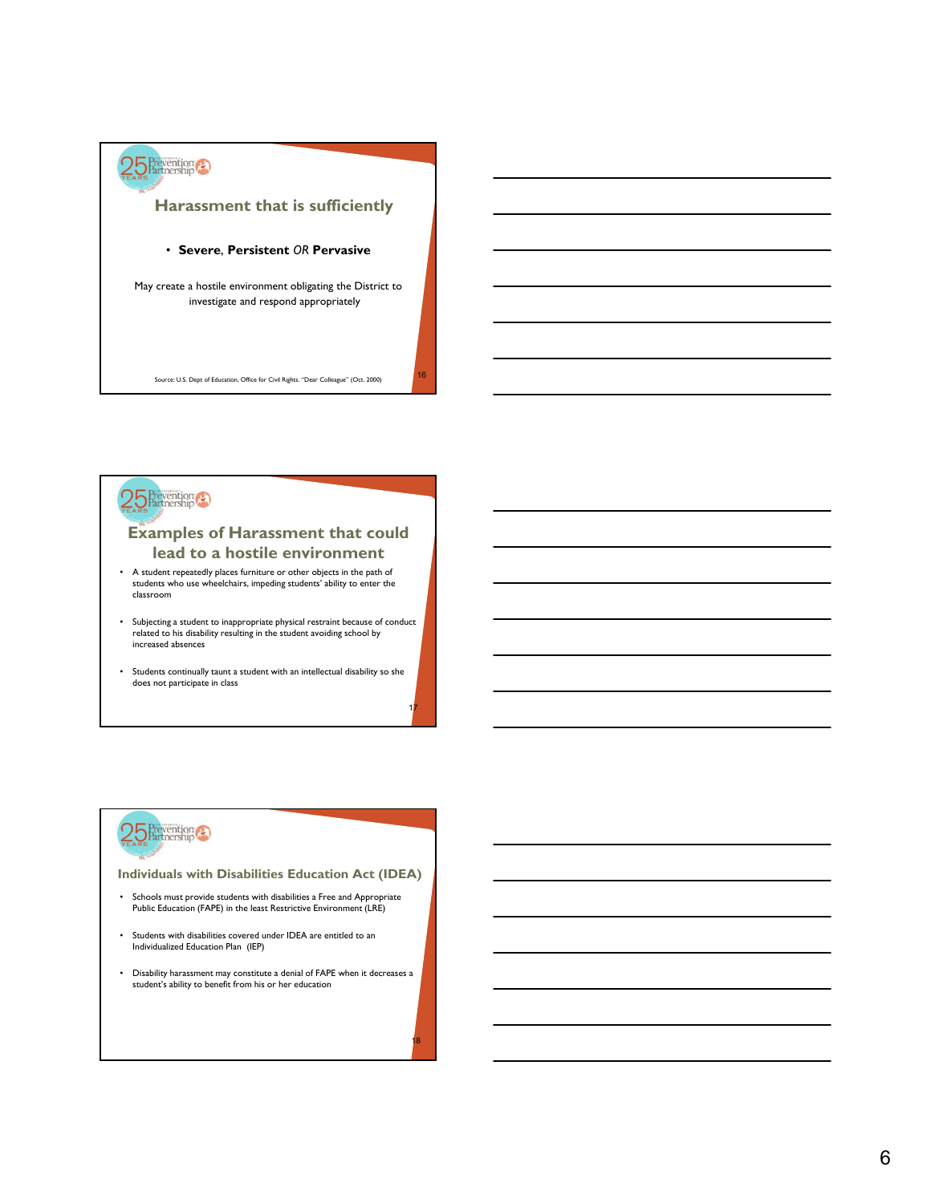



#### **Examples of Harassment that could lead to a hostile environment**

- A student repeatedly places furniture or other objects in the path of students who use wheelchairs, impeding students' ability to enter the classroom
- Subjecting a student to inappropriate physical restraint because of conduct related to his disability resulting in the student avoiding school by increased absences
- Students continually taunt a student with an intellectual disability so she does not participate in class

17

18



#### **Individuals with Disabilities Education Act (IDEA)**

- Schools must provide students with disabilities a Free and Appropriate Public Education (FAPE) in the least Restrictive Environment (LRE)
- Students with disabilities covered under IDEA are entitled to an Individualized Education Plan (IEP)
- Disability harassment may constitute a denial of FAPE when it decreases a student's ability to benefit from his or her education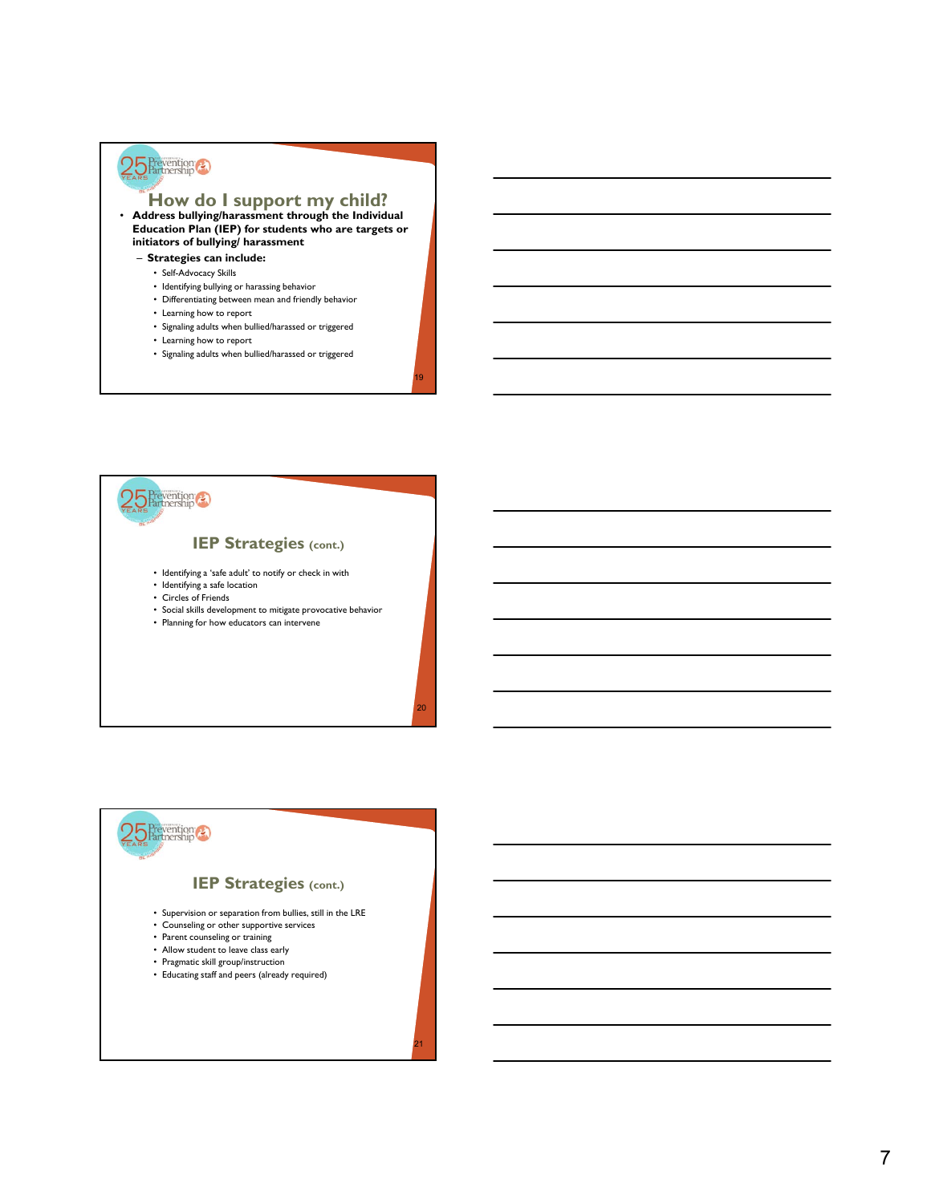# $25$  Prevention

### **How do I support my child?**<br>
• Address bullying/harassment through the Individual

**Education Plan (IEP) for students who are targets or initiators of bullying/ harassment** 

- **Strategies can include:**
	- Self-Advocacy Skills
	- Identifying bullying or harassing behavior
	- Differentiating between mean and friendly behavior
	- Learning how to report
	- Signaling adults when bullied/harassed or triggered
	- Learning how to report
	- Signaling adults when bullied/harassed or triggered

19

20

21



#### **IEP Strategies (cont.)**

- Identifying a 'safe adult' to notify or check in with
- Identifying a safe location
- Circles of Friends
- Social skills development to mitigate provocative behavior
- Planning for how educators can intervene

#### **IEP Strategies (cont.)**

- Supervision or separation from bullies, still in the LRE
- Counseling or other supportive services
- Parent counseling or training

25 Prevention

- Allow student to leave class early
- Pragmatic skill group/instruction
- Educating staff and peers (already required)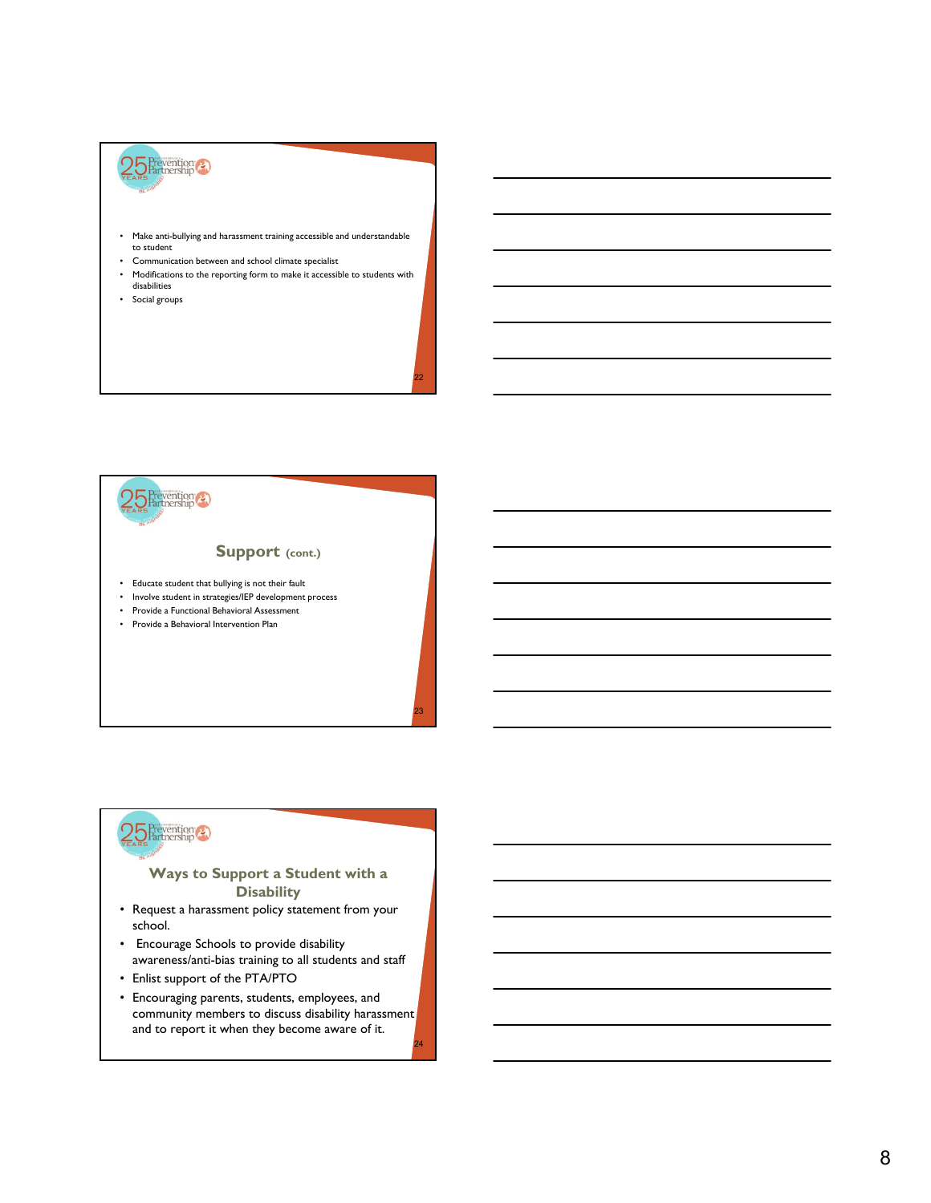

- Make anti-bullying and harassment training accessible and understandable to student
- Communication between and school climate specialist
- Modifications to the reporting form to make it accessible to students with disabilities

22

23

24

• Social groups



25 Prevention

- Educate student that bullying is not their fault
- Involve student in strategies/IEP development process
- Provide a Functional Behavioral Assessment
- Provide a Behavioral Intervention Plan

# 25 Prevention

#### **Ways to Support a Student with a Disability**

- Request a harassment policy statement from your school.
- Encourage Schools to provide disability awareness/anti-bias training to all students and staff
- Enlist support of the PTA/PTO
- Encouraging parents, students, employees, and community members to discuss disability harassment and to report it when they become aware of it.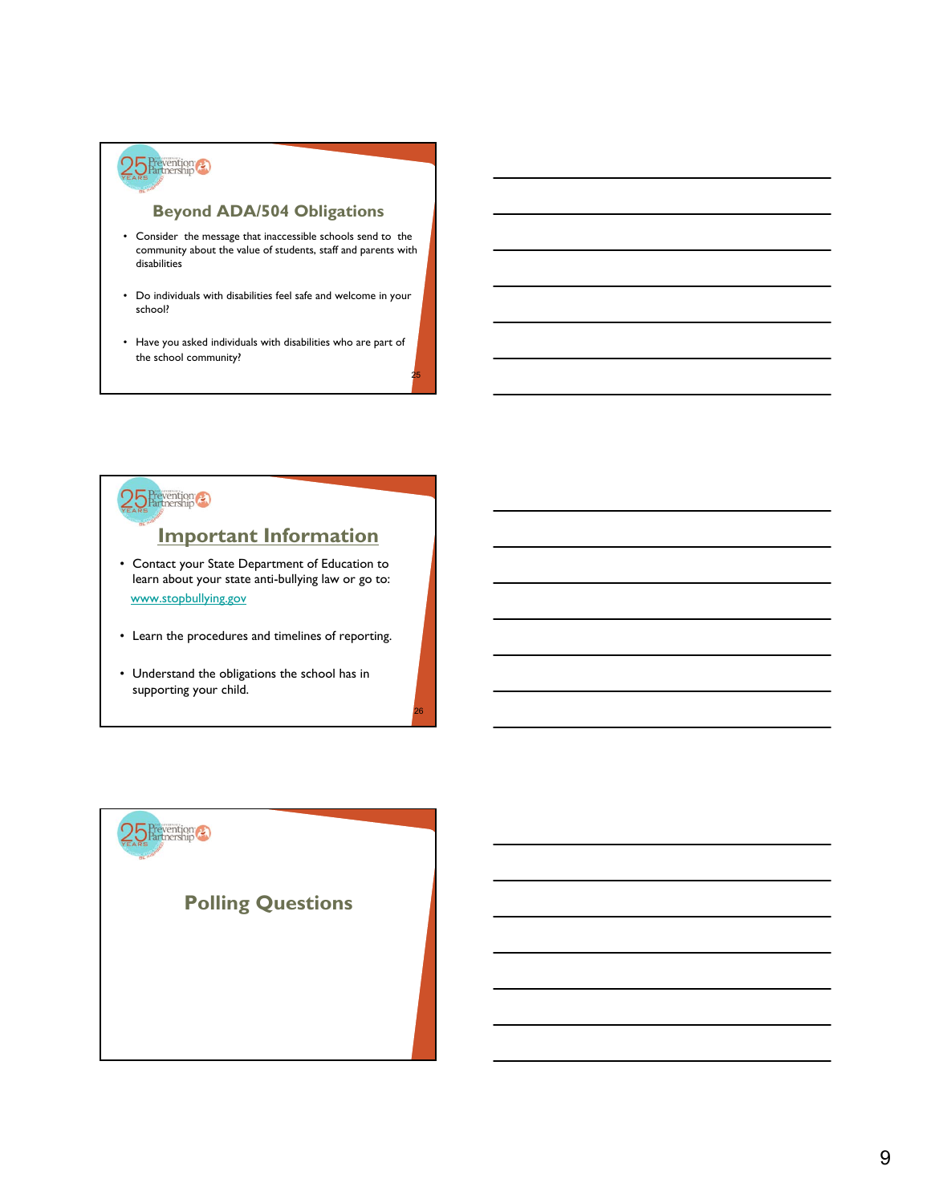

### **Beyond ADA/504 Obligations**

- Consider the message that inaccessible schools send to the community about the value of students, staff and parents with disabilities
- Do individuals with disabilities feel safe and welcome in your school?
- Have you asked individuals with disabilities who are part of the school community?

25

26



### **Important Information**

- Contact your State Department of Education to learn about your state anti-bullying law or go to: www.stopbullying.gov
- Learn the procedures and timelines of reporting.
- Understand the obligations the school has in supporting your child.